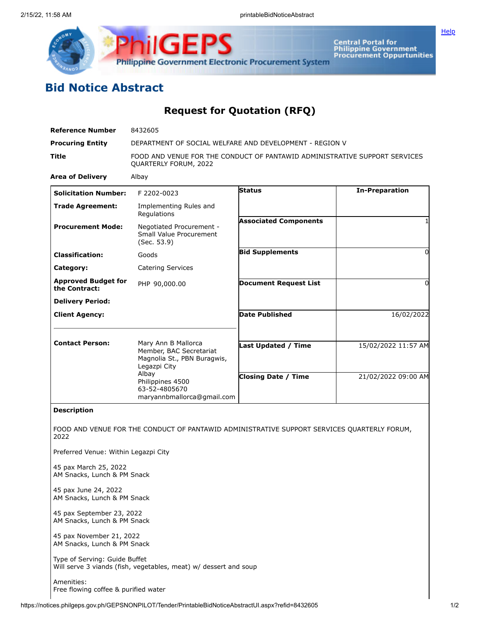



Central Portal for<br>Philippine Government<br>Procurement Oppurtunities

## **Bid Notice Abstract**

**Request for Quotation (RFQ)**

| <b>Reference Number</b>                                  | 8432605                                                                                             |                              |                       |
|----------------------------------------------------------|-----------------------------------------------------------------------------------------------------|------------------------------|-----------------------|
| <b>Procuring Entity</b>                                  | DEPARTMENT OF SOCIAL WELFARE AND DEVELOPMENT - REGION V                                             |                              |                       |
| <b>Title</b>                                             | FOOD AND VENUE FOR THE CONDUCT OF PANTAWID ADMINISTRATIVE SUPPORT SERVICES<br>QUARTERLY FORUM, 2022 |                              |                       |
| <b>Area of Delivery</b>                                  | Albay                                                                                               |                              |                       |
| <b>Solicitation Number:</b>                              | F 2202-0023                                                                                         | Status                       | <b>In-Preparation</b> |
| <b>Trade Agreement:</b>                                  | Implementing Rules and<br>Regulations                                                               |                              |                       |
| <b>Procurement Mode:</b>                                 | Negotiated Procurement -<br>Small Value Procurement<br>(Sec. 53.9)                                  | <b>Associated Components</b> |                       |
| <b>Classification:</b>                                   | Goods                                                                                               | <b>Bid Supplements</b>       | 0                     |
| Category:                                                | <b>Catering Services</b>                                                                            |                              |                       |
| <b>Approved Budget for</b><br>the Contract:              | PHP 90,000.00                                                                                       | <b>Document Request List</b> | 0                     |
| <b>Delivery Period:</b>                                  |                                                                                                     |                              |                       |
| <b>Client Agency:</b>                                    |                                                                                                     | <b>Date Published</b>        | 16/02/2022            |
| <b>Contact Person:</b>                                   | Mary Ann B Mallorca<br>Member, BAC Secretariat<br>Magnolia St., PBN Buragwis,<br>Legazpi City       | <b>Last Updated / Time</b>   | 15/02/2022 11:57 AM   |
|                                                          | Albay<br>Philippines 4500<br>63-52-4805670<br>maryannbmallorca@gmail.com                            | <b>Closing Date / Time</b>   | 21/02/2022 09:00 AM   |
| <b>Description</b>                                       |                                                                                                     |                              |                       |
| 2022                                                     | FOOD AND VENUE FOR THE CONDUCT OF PANTAWID ADMINISTRATIVE SUPPORT SERVICES QUARTERLY FORUM,         |                              |                       |
| Preferred Venue: Within Legazpi City                     |                                                                                                     |                              |                       |
| 45 pax March 25, 2022<br>AM Snacks, Lunch & PM Snack     |                                                                                                     |                              |                       |
| 45 pax June 24, 2022<br>AM Snacks, Lunch & PM Snack      |                                                                                                     |                              |                       |
| 45 pax September 23, 2022<br>AM Snacks, Lunch & PM Snack |                                                                                                     |                              |                       |
| 45 pax November 21, 2022<br>AM Snacks, Lunch & PM Snack  |                                                                                                     |                              |                       |
| Type of Serving: Guide Buffet                            | Will serve 3 viands (fish, vegetables, meat) w/ dessert and soup                                    |                              |                       |
| Amenities:                                               |                                                                                                     |                              |                       |

Free flowing coffee & purified water